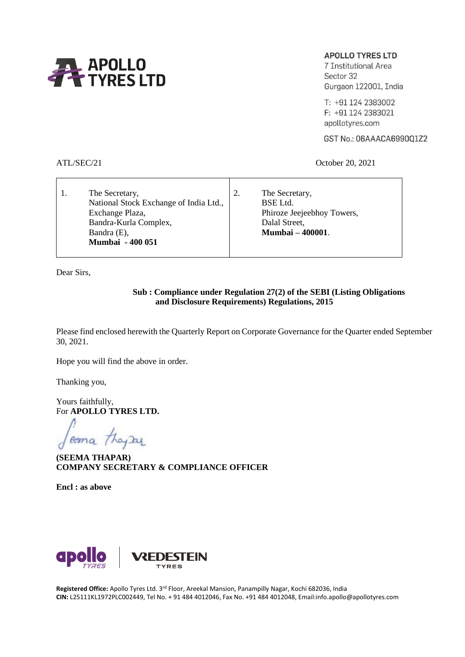

# **APOLLO TYRES LTD**

7 Institutional Area Sector 32 Gurgaon 122001, India

T: +91 124 2383002 F: +91 124 2383021 apollotyres.com

GST No.: 06AAACA6990Q1Z2

ATL/SEC/21 October 20, 2021

| The Secretary,<br>National Stock Exchange of India Ltd., | The Secretary,<br>BSE Ltd.                  |  |
|----------------------------------------------------------|---------------------------------------------|--|
| Exchange Plaza,<br>Bandra-Kurla Complex,                 | Phiroze Jeejeebhoy Towers,<br>Dalal Street, |  |
| Bandra (E),<br><b>Mumbai - 400 051</b>                   | <b>Mumbai – 400001.</b>                     |  |

Dear Sirs,

# **Sub : Compliance under Regulation 27(2) of the SEBI (Listing Obligations and Disclosure Requirements) Regulations, 2015**

Please find enclosed herewith the Quarterly Report on Corporate Governance for the Quarter ended September 30, 2021.

Hope you will find the above in order.

Thanking you,

Yours faithfully, For **APOLLO TYRES LTD.**

coma they Day

**(SEEMA THAPAR) COMPANY SECRETARY & COMPLIANCE OFFICER**

**Encl : as above**



**Registered Office:** Apollo Tyres Ltd. 3rd Floor, Areekal Mansion, Panampilly Nagar, Kochi 682036, India **CIN:** L25111KL1972PLC002449, Tel No. + 91 484 4012046, Fax No. +91 484 4012048, Email:info.apollo@apollotyres.com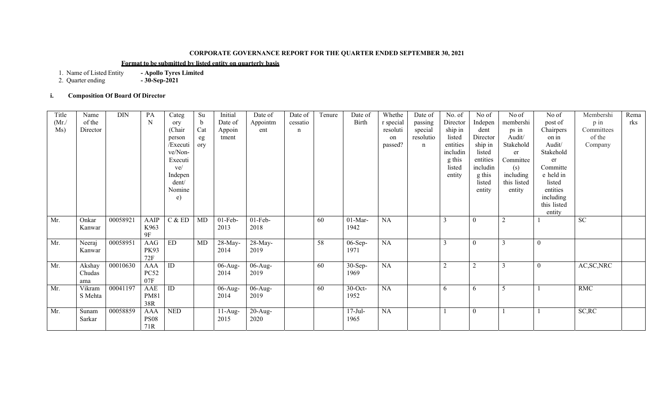# **CORPORATE GOVERNANCE REPORT FOR THE QUARTER ENDED SEPTEMBER 30, 2021**

# **Format to be submitted by listed entity on quarterly basis**

1.- Apollo Tyres Limited<br>- 30-Sep-2021

2. Quarter ending **- 30-Sep-2021**

# **i. Composition Of Board Of Director**

| Title | Name     | <b>DIN</b> | PA                 | Categ           | Su        | Initial    | Date of    | Date of     | Tenure | Date of    | Whethe    | Date of   | No. of         | No of          | No of       | No of            | Membershi   | Rema |
|-------|----------|------------|--------------------|-----------------|-----------|------------|------------|-------------|--------|------------|-----------|-----------|----------------|----------------|-------------|------------------|-------------|------|
| (Mr)  | of the   |            | N                  | ory             | b         | Date of    | Appointm   | cessatio    |        | Birth      | r special | passing   | Director       | Indepen        | membershi   | post of          | $p$ in      | rks  |
| Ms)   | Director |            |                    | (Chair          | Cat       | Appoin     | ent        | $\mathbf n$ |        |            | resoluti  | special   | ship in        | dent           | ps in       | Chairpers        | Committees  |      |
|       |          |            |                    | person          | eg        | tment      |            |             |        |            | on        | resolutio | listed         | Director       | Audit/      | on in            | of the      |      |
|       |          |            |                    | /Executi        | ory       |            |            |             |        |            | passed?   | n         | entities       | ship in        | Stakehold   | Audit/           | Company     |      |
|       |          |            |                    | ve/Non-         |           |            |            |             |        |            |           |           | includin       | listed         | er          | Stakehold        |             |      |
|       |          |            |                    | Executi         |           |            |            |             |        |            |           |           | g this         | entities       | Committee   | er               |             |      |
|       |          |            |                    | ve/             |           |            |            |             |        |            |           |           | listed         | includin       | (s)         | Committe         |             |      |
|       |          |            |                    | Indepen         |           |            |            |             |        |            |           |           | entity         | g this         | including   | e held in        |             |      |
|       |          |            |                    | dent/           |           |            |            |             |        |            |           |           |                | listed         | this listed | listed           |             |      |
|       |          |            |                    | Nomine          |           |            |            |             |        |            |           |           |                | entity         | entity      | entities         |             |      |
|       |          |            |                    | e)              |           |            |            |             |        |            |           |           |                |                |             | including        |             |      |
|       |          |            |                    |                 |           |            |            |             |        |            |           |           |                |                |             | this listed      |             |      |
|       |          |            |                    |                 |           |            |            |             |        |            |           |           |                |                |             | entity           |             |      |
| Mr.   | Onkar    | 00058921   | AAIP               | C & E D         | <b>MD</b> | $01$ -Feb- | $01$ -Feb- |             | 60     | $01-Mar-$  | <b>NA</b> |           | 3              | $\theta$       | 2           |                  | <b>SC</b>   |      |
|       | Kanwar   |            | K963               |                 |           | 2013       | 2018       |             |        | 1942       |           |           |                |                |             |                  |             |      |
|       |          |            | 9F                 |                 |           |            |            |             |        |            |           |           |                |                |             |                  |             |      |
| Mr.   | Neeraj   | 00058951   | AAG                | ED              | MD        | $28$ -May- | 28-May-    |             | 58     | $06-Sep-$  | <b>NA</b> |           | 3              | $\theta$       |             | $\overline{0}$   |             |      |
|       | Kanwar   |            | <b>PK93</b>        |                 |           | 2014       | 2019       |             |        | 1971       |           |           |                |                |             |                  |             |      |
|       |          |            | 72F                |                 |           |            |            |             |        |            |           |           |                |                |             |                  |             |      |
| Mr.   | Akshay   | 00010630   | AAA                | $\overline{ID}$ |           | $06$ -Aug- | $06$ -Aug- |             | 60     | $30-Sep-$  | NA        |           | $\overline{2}$ | $\overline{2}$ |             | $\boldsymbol{0}$ | AC, SC, NRC |      |
|       | Chudas   |            | <b>PC52</b>        |                 |           | 2014       | 2019       |             |        | 1969       |           |           |                |                |             |                  |             |      |
|       | ama      |            | 07F                |                 |           |            |            |             |        |            |           |           |                |                |             |                  |             |      |
| Mr.   | Vikram   | 00041197   | AAE                | ID              |           | 06-Aug-    | $06$ -Aug- |             | 60     | $30$ -Oct- | <b>NA</b> |           | 6              | 6              | -5          |                  | RMC         |      |
|       | S Mehta  |            | <b>PM81</b>        |                 |           | 2014       | 2019       |             |        | 1952       |           |           |                |                |             |                  |             |      |
|       |          |            | 38R                | <b>NED</b>      |           |            |            |             |        |            |           |           |                |                |             |                  |             |      |
| Mr.   | Sunam    | 00058859   | <b>AAA</b>         |                 |           | $11-Aug-$  | $20$ -Aug- |             |        | $17$ -Jul- | <b>NA</b> |           |                | $\overline{0}$ |             |                  | SC, RC      |      |
|       | Sarkar   |            | <b>PS08</b><br>71R |                 |           | 2015       | 2020       |             |        | 1965       |           |           |                |                |             |                  |             |      |
|       |          |            |                    |                 |           |            |            |             |        |            |           |           |                |                |             |                  |             |      |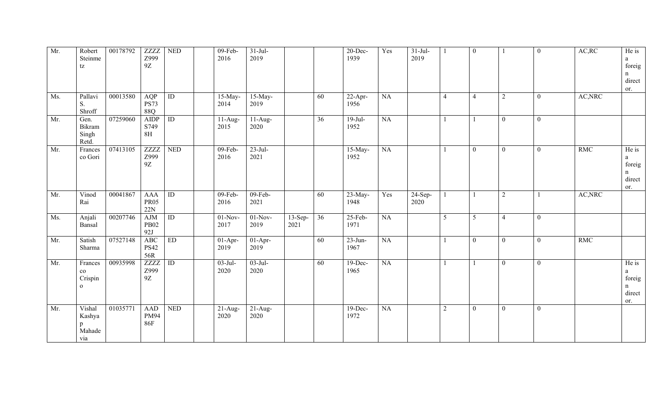| Mr. | Robert<br>Steinme<br>tz                           | 00178792 | ZZZZ<br>Z999<br>9Z               | <b>NED</b>      | 09-Feb-<br>2016               | $31-Jul-$<br>2019  |                   |    | 20-Dec-<br>1939               | Yes | $31-Jul-$<br>2019 |                | $\overline{0}$ |                | $\overline{0}$ | AC, RC     | He is<br>a<br>foreig<br>n<br>direct        |
|-----|---------------------------------------------------|----------|----------------------------------|-----------------|-------------------------------|--------------------|-------------------|----|-------------------------------|-----|-------------------|----------------|----------------|----------------|----------------|------------|--------------------------------------------|
| Ms. | Pallavi<br>S.<br>Shroff                           | 00013580 | AQP<br><b>PS73</b><br>88Q        | $\overline{ID}$ | $15$ -May-<br>2014            | $15$ -May-<br>2019 |                   | 60 | $\overline{2}$ 2-Apr-<br>1956 | NA  |                   | $\overline{4}$ | $\overline{4}$ | $\overline{2}$ | $\mathbf{0}$   | AC, NRC    | or.                                        |
| Mr. | Gen.<br>Bikram<br>Singh<br>Retd.                  | 07259060 | <b>AIDP</b><br>S749<br>8H        | ID              | $\overline{1}$ 1-Aug-<br>2015 | $11-Aug-$<br>2020  |                   | 36 | $19$ -Jul-<br>1952            | NA  |                   |                |                | $\overline{0}$ | $\overline{0}$ |            |                                            |
| Mr. | Frances<br>co Gori                                | 07413105 | ZZZZ<br>Z999<br>9Z               | <b>NED</b>      | 09-Feb-<br>2016               | $23$ -Jul-<br>2021 |                   |    | 15-May-<br>1952               | NA  |                   |                | $\overline{0}$ | $\overline{0}$ | $\overline{0}$ | <b>RMC</b> | He is<br>a<br>foreig<br>n<br>direct<br>or. |
| Mr. | Vinod<br>Rai                                      | 00041867 | <b>AAA</b><br><b>PR05</b><br>22N | $\overline{ID}$ | 09-Feb-<br>2016               | $09$ -Feb-<br>2021 |                   | 60 | 23-May-<br>1948               | Yes | $24-Sep-$<br>2020 |                |                | $\mathfrak{2}$ |                | AC, NRC    |                                            |
| Ms. | Anjali<br>Bansal                                  | 00207746 | <b>AJM</b><br><b>PB02</b><br>92J | $\overline{ID}$ | $01-Nov-$<br>2017             | $01-Nov-$<br>2019  | $13-Sep-$<br>2021 | 36 | $25$ -Feb-<br>1971            | NA  |                   | $\overline{5}$ | $\overline{5}$ | $\overline{4}$ | $\overline{0}$ |            |                                            |
| Mr. | Satish<br>Sharma                                  | 07527148 | <b>ABC</b><br><b>PS42</b><br>56R | ED              | $\overline{0}$ 1-Apr-<br>2019 | $01-Apr-$<br>2019  |                   | 60 | $23$ -Jun-<br>1967            | NA  |                   |                | $\overline{0}$ | $\overline{0}$ | $\overline{0}$ | <b>RMC</b> |                                            |
| Mr. | Frances<br>$_{\rm co}$<br>Crispin<br>$\mathbf{o}$ | 00935998 | <b>ZZZZ</b><br>Z999<br>9Z        | $\overline{ID}$ | $03$ -Jul-<br>2020            | $03-Jul-$<br>2020  |                   | 60 | $19-Dec-$<br>1965             | NA  |                   |                |                | $\theta$       | $\mathbf{0}$   |            | He is<br>a<br>foreig<br>n<br>direct<br>or. |
| Mr. | Vishal<br>Kashya<br>$\mathbf{p}$<br>Mahade<br>via | 01035771 | <b>AAD</b><br>PM94<br><b>86F</b> | <b>NED</b>      | $\overline{2}$ 1-Aug-<br>2020 | $21-Aug-$<br>2020  |                   |    | 19-Dec-<br>1972               | NA  |                   | 2              | $\mathbf{0}$   | $\overline{0}$ | $\mathbf{0}$   |            |                                            |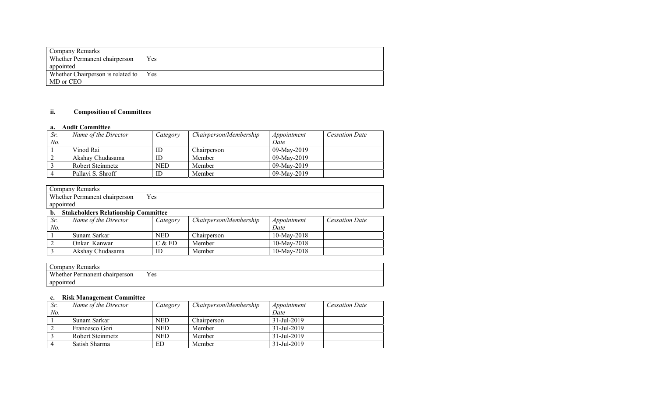| Company Remarks                   |     |
|-----------------------------------|-----|
| Whether Permanent chairperson     | Yes |
| appointed                         |     |
| Whether Chairperson is related to | Yes |
| MD or CEO                         |     |

#### **ii.Composition of Committees**

#### **a. Audit Committee**

| Sr. | Name of the Director | Category | Chairperson/Membership | Appointment | <b>Cessation Date</b> |
|-----|----------------------|----------|------------------------|-------------|-----------------------|
| No. |                      |          |                        | Date        |                       |
|     | Vinod Rai            | ID       | Chairperson            | 09-May-2019 |                       |
|     | Akshav Chudasama     | ID       | Member                 | 09-May-2019 |                       |
|     | Robert Steinmetz     | NED      | Member                 | 09-May-2019 |                       |
|     | Pallavi S. Shroff    | ID       | Member                 | 09-May-2019 |                       |

| Company Remarks               |     |
|-------------------------------|-----|
| Whether Permanent chairperson | Yes |
| appointed                     |     |

#### **b. Stakeholders Relationship Committee**

| Sr. | Name of the Director | Category   | Chairperson/Membership | Appointment    | <b>Cessation Date</b> |
|-----|----------------------|------------|------------------------|----------------|-----------------------|
| No. |                      |            |                        | Date           |                       |
|     | Sunam Sarkar         | <b>NED</b> | Chairperson            | $10$ -May-2018 |                       |
|     | Onkar Kanwar         | C & ED     | Member                 | $10$ -May-2018 |                       |
|     | Akshav Chudasama     |            | Member                 | $10$ -May-2018 |                       |

| Company Remarks               |     |
|-------------------------------|-----|
| Whether Permanent chairperson | Yes |
| appointed                     |     |

#### **c. Risk Management Committee**

| Sr. | Name of the Director    | Category | Chairperson/Membership | Appointment              | Cessation Date |
|-----|-------------------------|----------|------------------------|--------------------------|----------------|
| No. |                         |          |                        | Date                     |                |
|     | Sunam Sarkar            | NED      | Chairperson            | $31 - \text{Jul} - 2019$ |                |
|     | Francesco Gori          | NED      | Member                 | $31 - \text{Jul} - 2019$ |                |
|     | <b>Robert Steinmetz</b> | NED      | Member                 | $31 - \text{Jul} - 2019$ |                |
|     | Satish Sharma           | ED       | Member                 | $31 - \text{Jul} - 2019$ |                |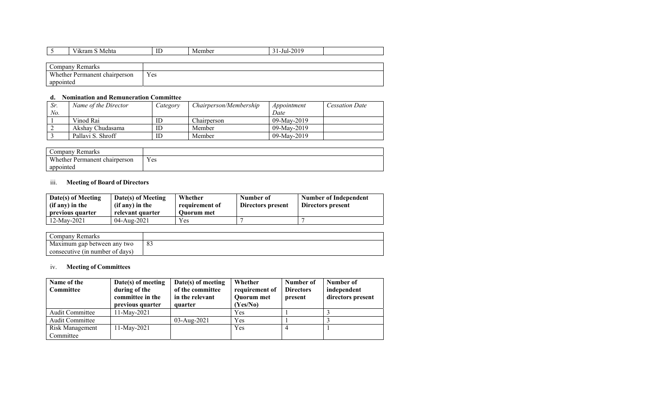|           | Vikram S Mehta                | ID  | Member | $31 - \text{Jul} - 2019$ |  |
|-----------|-------------------------------|-----|--------|--------------------------|--|
|           |                               |     |        |                          |  |
|           | Company Remarks               |     |        |                          |  |
|           | Whether Permanent chairperson | Yes |        |                          |  |
| appointed |                               |     |        |                          |  |

### **d. Nomination and Remuneration Committee**

| Sr  | Name of the Director | Category | <i>Chairperson/Membership</i> | Appointment    | <b>Cessation Date</b> |
|-----|----------------------|----------|-------------------------------|----------------|-----------------------|
| No. |                      |          |                               | Date           |                       |
|     | Vinod Rai            | ID       | Chairperson                   | 09-May-2019    |                       |
|     | Akshav Chudasama     | ID       | Member                        | 09-May-2019    |                       |
|     | Pallavi S. Shroff    | ID       | Member                        | $09$ -May-2019 |                       |

| Remarks<br>Company            |     |
|-------------------------------|-----|
| Whether Permanent chairperson | Yes |
| appointed                     |     |

### iii. **Meeting of Board of Directors**

| Date(s) of Meeting<br>(if any) in the<br>previous quarter | Date(s) of Meeting<br>(if any) in the<br>relevant quarter | Whether<br>requirement of<br><b>Ouorum</b> met | Number of<br>Directors present | Number of Independent<br>Directors present |
|-----------------------------------------------------------|-----------------------------------------------------------|------------------------------------------------|--------------------------------|--------------------------------------------|
| 12-Mav-2021                                               | $04 - \text{Aug} - 2021$                                  | Yes                                            |                                |                                            |

| Company Remarks                 |     |
|---------------------------------|-----|
| Maximum gap between any two     | . ర |
| consecutive (in number of days) |     |

## iv. **Meeting of Committees**

| Name of the<br><b>Committee</b> | Date(s) of meeting<br>during of the<br>committee in the<br>previous quarter | Date(s) of meeting<br>of the committee<br>in the relevant<br>quarter | Whether<br>requirement of<br><b>Quorum</b> met<br>(Yes/No) | Number of<br><b>Directors</b><br>present | Number of<br>independent<br>directors present |
|---------------------------------|-----------------------------------------------------------------------------|----------------------------------------------------------------------|------------------------------------------------------------|------------------------------------------|-----------------------------------------------|
| <b>Audit Committee</b>          | 11-Mav-2021                                                                 |                                                                      | Yes                                                        |                                          |                                               |
| <b>Audit Committee</b>          |                                                                             | 03-Aug-2021                                                          | Yes                                                        |                                          |                                               |
| Risk Management<br>Committee    | 11-May-2021                                                                 |                                                                      | Yes                                                        | 4                                        |                                               |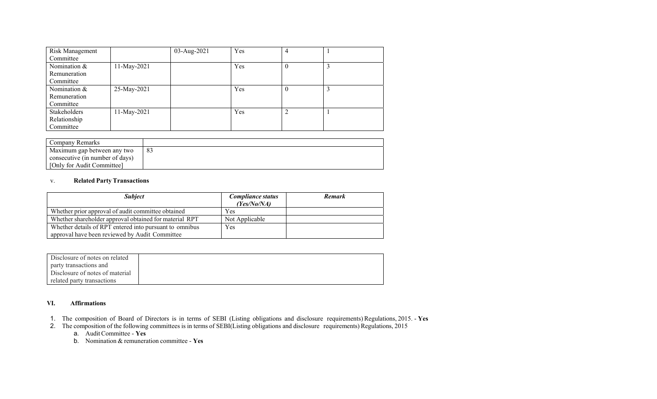| Risk Management     |             | 03-Aug-2021 | Yes | 4        |  |
|---------------------|-------------|-------------|-----|----------|--|
| Committee           |             |             |     |          |  |
| Nomination $&$      | 11-May-2021 |             | Yes | -0       |  |
| Remuneration        |             |             |     |          |  |
| Committee           |             |             |     |          |  |
| Nomination &        | 25-May-2021 |             | Yes | $\theta$ |  |
| Remuneration        |             |             |     |          |  |
| Committee           |             |             |     |          |  |
| <b>Stakeholders</b> | 11-May-2021 |             | Yes | ↑        |  |
| Relationship        |             |             |     |          |  |
| Committee           |             |             |     |          |  |

| l Company Remarks               |  |
|---------------------------------|--|
| Maximum gap between any two     |  |
| consecutive (in number of days) |  |
| [Only for Audit Committee]      |  |

#### v.**Related Party Transactions**

| <b>Subject</b>                                          | Compliance status<br>(Yes/No/NA) | <b>Remark</b> |
|---------------------------------------------------------|----------------------------------|---------------|
| Whether prior approval of audit committee obtained      | Yes                              |               |
| Whether shareholder approval obtained for material RPT  | Not Applicable                   |               |
| Whether details of RPT entered into pursuant to omnibus | Yes                              |               |
| approval have been reviewed by Audit Committee          |                                  |               |

| Disclosure of notes on related  |  |
|---------------------------------|--|
| party transactions and          |  |
| Disclosure of notes of material |  |
| related party transactions      |  |

## **VI. Affirmations**

- 1. The composition of Board of Directors is in terms of SEBI (Listing obligations and disclosure requirements) Regulations, 2015. **Yes**
- 2. The composition of the following committees is in terms of SEBI(Listing obligations and disclosure requirements) Regulations, 2015
	- a. Audit Committee **Yes**
	- b. Nomination & remuneration committee **Yes**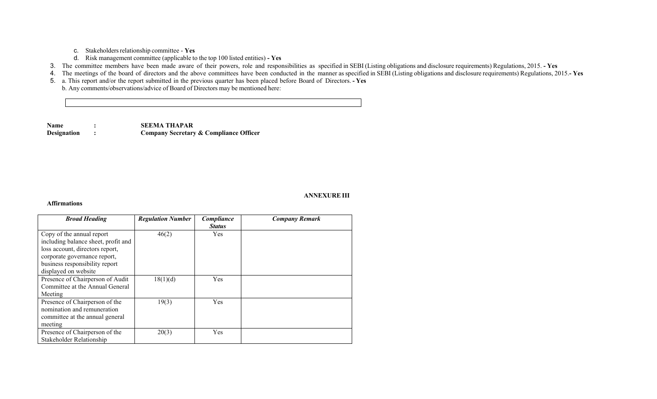c. Stakeholders relationship committee - **Yes**

- d. Risk management committee (applicable to the top 100 listed entities)  **Yes**
- 3. The committee members have been made aware of their powers, role and responsibilities as specified in SEBI (Listing obligations and disclosure requirements) Regulations, 2015.  **Yes**

4. The meetings of the board of directors and the above committees have been conducted in the manner as specified in SEBI (Listing obligations and disclosure requirements) Regulations, 2015.**- Yes** 

5. a. This report and/or the report submitted in the previous quarter has been placed before Board of Directors. **- Yes**

b. Any comments/observations/advice of Board of Directors may be mentioned here:

**Name : SEEMA THAPAR Designation : Company Secretary & Compliance Officer**

## **ANNEXURE III**

### **Affirmations**

| <b>Broad Heading</b>                                                                                                                                                                          | <b>Regulation Number</b> | Compliance<br><b>Status</b> | <b>Company Remark</b> |
|-----------------------------------------------------------------------------------------------------------------------------------------------------------------------------------------------|--------------------------|-----------------------------|-----------------------|
| Copy of the annual report<br>including balance sheet, profit and<br>loss account, directors report,<br>corporate governance report,<br>business responsibility report<br>displayed on website | 46(2)                    | Yes                         |                       |
| Presence of Chairperson of Audit<br>Committee at the Annual General<br>Meeting                                                                                                                | 18(1)(d)                 | Yes                         |                       |
| Presence of Chairperson of the<br>nomination and remuneration<br>committee at the annual general<br>meeting                                                                                   | 19(3)                    | Yes                         |                       |
| Presence of Chairperson of the<br>Stakeholder Relationship                                                                                                                                    | 20(3)                    | Yes                         |                       |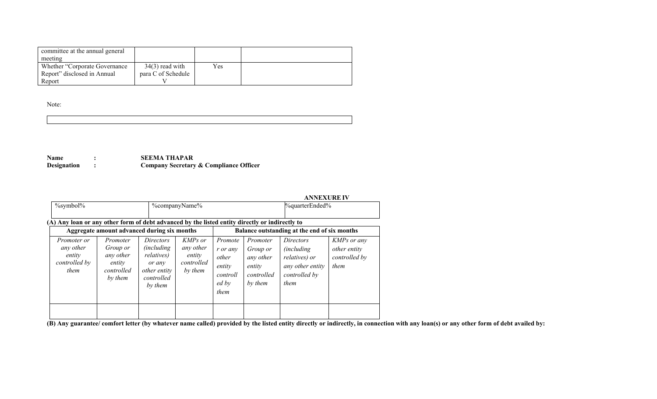| committee at the annual general<br>meeting |                    |     |  |
|--------------------------------------------|--------------------|-----|--|
| Whether "Corporate Governance"             | $34(3)$ read with  | Yes |  |
| Report" disclosed in Annual                | para C of Schedule |     |  |
| Report                                     |                    |     |  |

Note:

| ,我们就会不会不会。""我们,我们不会不会不会不会。""我们,我们不会不会不会不会不会不会不会不会不会。""我们,我们不会不会不会不会不会不会不会不会不会不会不 |  |  |
|----------------------------------------------------------------------------------|--|--|
|                                                                                  |  |  |
|                                                                                  |  |  |
|                                                                                  |  |  |

**Name : SEEMA THAPAR Designation : Company Secretary & Compliance Officer** 

|                                                                                                |                                                                             |                                                                                                                 |                                                                |                                                                     |                                                                             | <b>ANNEXURE IV</b>                                                                            |                                                      |
|------------------------------------------------------------------------------------------------|-----------------------------------------------------------------------------|-----------------------------------------------------------------------------------------------------------------|----------------------------------------------------------------|---------------------------------------------------------------------|-----------------------------------------------------------------------------|-----------------------------------------------------------------------------------------------|------------------------------------------------------|
| $\%$ symbol $\%$                                                                               |                                                                             |                                                                                                                 | %companyName%                                                  |                                                                     |                                                                             | %quarterEnded%                                                                                |                                                      |
|                                                                                                |                                                                             |                                                                                                                 |                                                                |                                                                     |                                                                             |                                                                                               |                                                      |
| (A) Any loan or any other form of debt advanced by the listed entity directly or indirectly to |                                                                             |                                                                                                                 |                                                                |                                                                     |                                                                             |                                                                                               |                                                      |
|                                                                                                | Aggregate amount advanced during six months                                 |                                                                                                                 |                                                                |                                                                     |                                                                             | Balance outstanding at the end of six months                                                  |                                                      |
| Promoter or<br>any other<br>entity<br>controlled by<br>them                                    | Promoter<br><i>Group or</i><br>any other<br>entity<br>controlled<br>by them | <i>Directors</i><br><i>(including)</i><br><i>relatives</i> )<br>or any<br>other entity<br>controlled<br>by them | <b>KMPs</b> or<br>any other<br>entity<br>controlled<br>by them | Promote<br>r or anv<br>other<br>entity<br>controll<br>ed by<br>them | Promoter<br><i>Group or</i><br>any other<br>entity<br>controlled<br>by them | Directors<br><i>(including)</i><br>relatives) or<br>any other entity<br>controlled by<br>them | KMPs or any<br>other entity<br>controlled by<br>them |
|                                                                                                |                                                                             |                                                                                                                 |                                                                |                                                                     |                                                                             |                                                                                               |                                                      |

**(B) Any guarantee/ comfort letter (by whatever name called) provided by the listed entity directly or indirectly, in connection with any loan(s) or any other form of debt availed by:**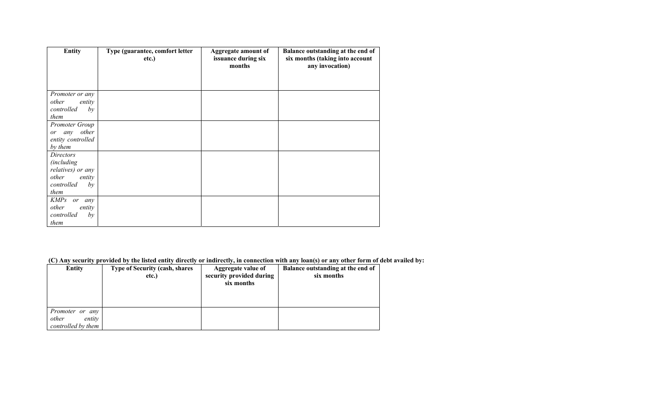| <b>Entity</b>                          | Type (guarantee, comfort letter<br>etc.) | <b>Aggregate amount of</b><br>issuance during six<br>months | Balance outstanding at the end of<br>six months (taking into account<br>any invocation) |
|----------------------------------------|------------------------------------------|-------------------------------------------------------------|-----------------------------------------------------------------------------------------|
|                                        |                                          |                                                             |                                                                                         |
| Promoter or any                        |                                          |                                                             |                                                                                         |
| other<br>entity<br>controlled<br>by    |                                          |                                                             |                                                                                         |
| them                                   |                                          |                                                             |                                                                                         |
| Promoter Group                         |                                          |                                                             |                                                                                         |
| any other<br>or                        |                                          |                                                             |                                                                                         |
| entity controlled                      |                                          |                                                             |                                                                                         |
| by them                                |                                          |                                                             |                                                                                         |
| Directors                              |                                          |                                                             |                                                                                         |
| <i>(including</i><br>relatives) or any |                                          |                                                             |                                                                                         |
| other<br>entity                        |                                          |                                                             |                                                                                         |
| controlled<br>by                       |                                          |                                                             |                                                                                         |
| them                                   |                                          |                                                             |                                                                                         |
| <b>KMPs</b><br>or<br>any               |                                          |                                                             |                                                                                         |
| other<br>entity                        |                                          |                                                             |                                                                                         |
| controlled<br>by                       |                                          |                                                             |                                                                                         |
| them                                   |                                          |                                                             |                                                                                         |

 **(C) Any security provided by the listed entity directly or indirectly, in connection with any loan(s) or any other form of debt availed by:**

| <b>Entity</b>                                            | <b>Type of Security (cash, shares)</b><br>etc.) | Aggregate value of<br>security provided during<br>six months | Balance outstanding at the end of<br>six months |
|----------------------------------------------------------|-------------------------------------------------|--------------------------------------------------------------|-------------------------------------------------|
| Promoter or any<br>other<br>entity<br>controlled by them |                                                 |                                                              |                                                 |